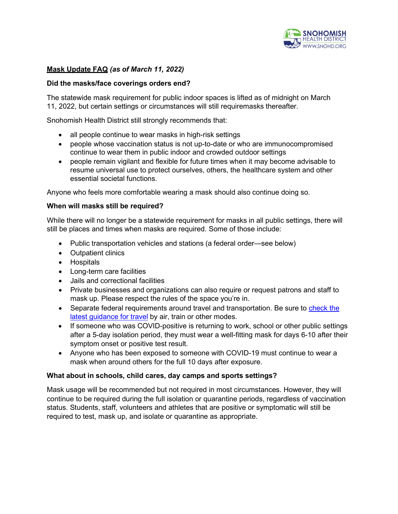

# **Mask Update FAQ** *(as of March 11, 2022)*

# **Did the masks/face coverings orders end?**

The statewide mask requirement for public indoor spaces is lifted as of midnight on March 11, 2022, but certain settings or circumstances will still requiremasks thereafter.

Snohomish Health District still strongly recommends that:

- all people continue to wear masks in high-risk settings
- people whose vaccination status is not up-to-date or who are immunocompromised continue to wear them in public indoor and crowded outdoor settings
- people remain vigilant and flexible for future times when it may become advisable to resume universal use to protect ourselves, others, the healthcare system and other essential societal functions.

Anyone who feels more comfortable wearing a mask should also continue doing so.

### **When will masks still be required?**

While there will no longer be a statewide requirement for masks in all public settings, there will still be places and times when masks are required. Some of those include:

- Public transportation vehicles and stations (a federal order—see below)
- Outpatient clinics
- Hospitals
- Long-term care facilities
- Jails and correctional facilities
- Private businesses and organizations can also require or request patrons and staff to mask up. Please respect the rules of the space you're in.
- Separate federal requirements around travel and transportation. Be sure to [check the](https://www.cdc.gov/coronavirus/2019-ncov/travelers/index.html) latest [guidance](https://www.cdc.gov/coronavirus/2019-ncov/travelers/index.html) for travel by air, train or other modes.
- If someone who was COVID-positive is returning to work, school or other public settings after a 5-day isolation period, they must wear a well-fitting mask for days 6-10 after their symptom onset or positive test result.
- Anyone who has been exposed to someone with COVID-19 must continue to wear a mask when around others for the full 10 days after exposure.

#### **What about in schools, child cares, day camps and sports settings?**

Mask usage will be recommended but not required in most circumstances. However, they will continue to be required during the full isolation or quarantine periods, regardless of vaccination status. Students, staff, volunteers and athletes that are positive or symptomatic will still be required to test, mask up, and isolate or quarantine as appropriate.